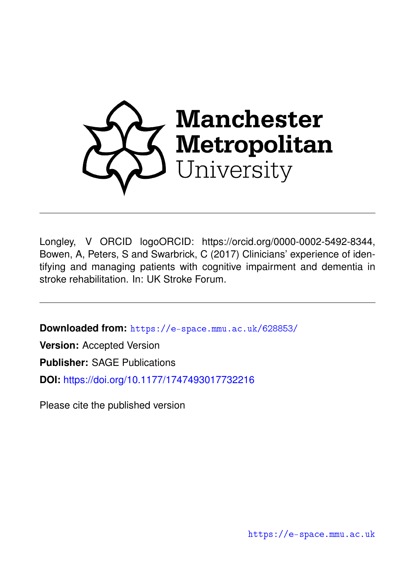

Longley, V ORCID logoORCID: https://orcid.org/0000-0002-5492-8344, Bowen, A, Peters, S and Swarbrick, C (2017) Clinicians' experience of identifying and managing patients with cognitive impairment and dementia in stroke rehabilitation. In: UK Stroke Forum.

**Downloaded from:** <https://e-space.mmu.ac.uk/628853/>

**Version:** Accepted Version

**Publisher:** SAGE Publications

**DOI:** <https://doi.org/10.1177/1747493017732216>

Please cite the published version

<https://e-space.mmu.ac.uk>